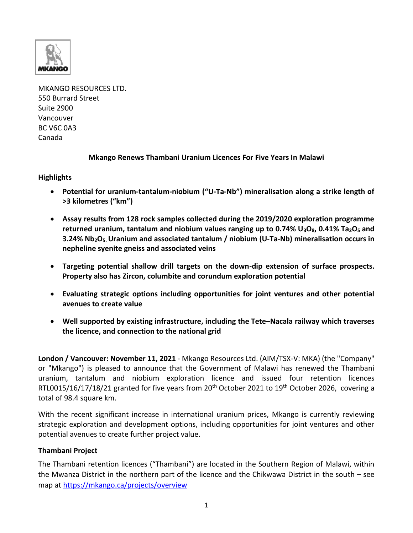

MKANGO RESOURCES LTD. 550 Burrard Street Suite 2900 Vancouver BC V6C 0A3 Canada

**Mkango Renews Thambani Uranium Licences For Five Years In Malawi**

**Highlights** 

- **Potential for uranium-tantalum-niobium ("U-Ta-Nb") mineralisation along a strike length of >3 kilometres ("km")**
- **Assay results from 128 rock samples collected during the 2019/2020 exploration programme returned uranium, tantalum and niobium values ranging up to 0.74% U3O8, 0.41% Ta2O<sup>5</sup> and 3.24% Nb2O5. Uranium and associated tantalum / niobium (U-Ta-Nb) mineralisation occurs in nepheline syenite gneiss and associated veins**
- **Targeting potential shallow drill targets on the down-dip extension of surface prospects. Property also has Zircon, columbite and corundum exploration potential**
- **Evaluating strategic options including opportunities for joint ventures and other potential avenues to create value**
- **Well supported by existing infrastructure, including the Tete–Nacala railway which traverses the licence, and connection to the national grid**

**London / Vancouver: November 11, 2021** - Mkango Resources Ltd. (AIM/TSX-V: MKA) (the "Company" or "Mkango") is pleased to announce that the Government of Malawi has renewed the Thambani uranium, tantalum and niobium exploration licence and issued four retention licences RTL0015/16/17/18/21 granted for five years from  $20<sup>th</sup>$  October 2021 to 19<sup>th</sup> October 2026, covering a total of 98.4 square km.

With the recent significant increase in international uranium prices, Mkango is currently reviewing strategic exploration and development options, including opportunities for joint ventures and other potential avenues to create further project value.

## **Thambani Project**

The Thambani retention licences ("Thambani") are located in the Southern Region of Malawi, within the Mwanza District in the northern part of the licence and the Chikwawa District in the south – see map at<https://mkango.ca/projects/overview>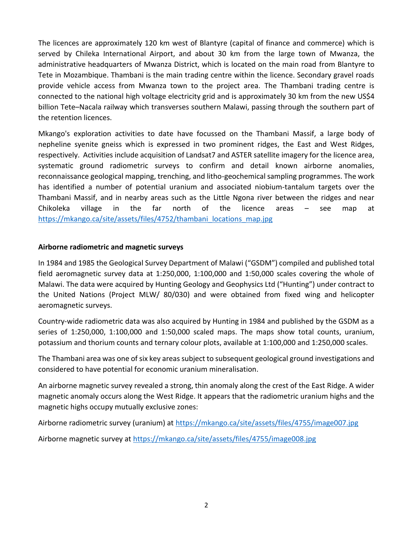The licences are approximately 120 km west of Blantyre (capital of finance and commerce) which is served by Chileka International Airport, and about 30 km from the large town of Mwanza, the administrative headquarters of Mwanza District, which is located on the main road from Blantyre to Tete in Mozambique. Thambani is the main trading centre within the licence. Secondary gravel roads provide vehicle access from Mwanza town to the project area. The Thambani trading centre is connected to the national high voltage electricity grid and is approximately 30 km from the new US\$4 billion Tete–Nacala railway which transverses southern Malawi, passing through the southern part of the retention licences.

Mkango's exploration activities to date have focussed on the Thambani Massif, a large body of nepheline syenite gneiss which is expressed in two prominent ridges, the East and West Ridges, respectively. Activities include acquisition of Landsat7 and ASTER satellite imagery for the licence area, systematic ground radiometric surveys to confirm and detail known airborne anomalies, reconnaissance geological mapping, trenching, and litho-geochemical sampling programmes. The work has identified a number of potential uranium and associated niobium-tantalum targets over the Thambani Massif, and in nearby areas such as the Little Ngona river between the ridges and near Chikoleka village in the far north of the licence areas – see map at [https://mkango.ca/site/assets/files/4752/thambani\\_locations\\_map.jpg](https://mkango.ca/site/assets/files/4752/thambani_locations_map.jpg)

## **Airborne radiometric and magnetic surveys**

In 1984 and 1985 the Geological Survey Department of Malawi ("GSDM") compiled and published total field aeromagnetic survey data at 1:250,000, 1:100,000 and 1:50,000 scales covering the whole of Malawi. The data were acquired by Hunting Geology and Geophysics Ltd ("Hunting") under contract to the United Nations (Project MLW/ 80/030) and were obtained from fixed wing and helicopter aeromagnetic surveys.

Country-wide radiometric data was also acquired by Hunting in 1984 and published by the GSDM as a series of 1:250,000, 1:100,000 and 1:50,000 scaled maps. The maps show total counts, uranium, potassium and thorium counts and ternary colour plots, available at 1:100,000 and 1:250,000 scales.

The Thambani area was one of six key areas subject to subsequent geological ground investigations and considered to have potential for economic uranium mineralisation.

An airborne magnetic survey revealed a strong, thin anomaly along the crest of the East Ridge. A wider magnetic anomaly occurs along the West Ridge. It appears that the radiometric uranium highs and the magnetic highs occupy mutually exclusive zones:

Airborne radiometric survey (uranium) at<https://mkango.ca/site/assets/files/4755/image007.jpg>

Airborne magnetic survey at<https://mkango.ca/site/assets/files/4755/image008.jpg>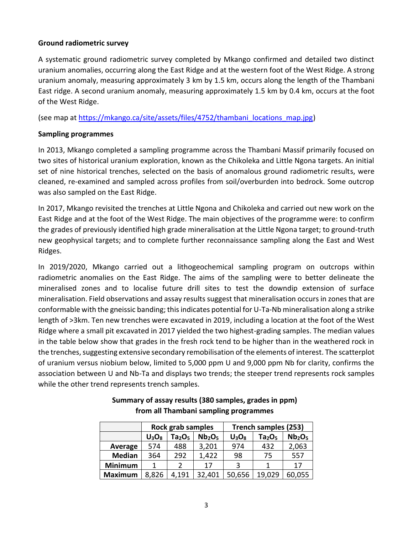### **Ground radiometric survey**

A systematic ground radiometric survey completed by Mkango confirmed and detailed two distinct uranium anomalies, occurring along the East Ridge and at the western foot of the West Ridge. A strong uranium anomaly, measuring approximately 3 km by 1.5 km, occurs along the length of the Thambani East ridge. A second uranium anomaly, measuring approximately 1.5 km by 0.4 km, occurs at the foot of the West Ridge.

(see map at [https://mkango.ca/site/assets/files/4752/thambani\\_locations\\_map.jpg\)](https://mkango.ca/site/assets/files/4752/thambani_locations_map.jpg)

## **Sampling programmes**

In 2013, Mkango completed a sampling programme across the Thambani Massif primarily focused on two sites of historical uranium exploration, known as the Chikoleka and Little Ngona targets. An initial set of nine historical trenches, selected on the basis of anomalous ground radiometric results, were cleaned, re-examined and sampled across profiles from soil/overburden into bedrock. Some outcrop was also sampled on the East Ridge.

In 2017, Mkango revisited the trenches at Little Ngona and Chikoleka and carried out new work on the East Ridge and at the foot of the West Ridge. The main objectives of the programme were: to confirm the grades of previously identified high grade mineralisation at the Little Ngona target; to ground-truth new geophysical targets; and to complete further reconnaissance sampling along the East and West Ridges.

In 2019/2020, Mkango carried out a lithogeochemical sampling program on outcrops within radiometric anomalies on the East Ridge. The aims of the sampling were to better delineate the mineralised zones and to localise future drill sites to test the downdip extension of surface mineralisation. Field observations and assay results suggest that mineralisation occurs in zones that are conformable with the gneissic banding; this indicates potential for U-Ta-Nb mineralisation along a strike length of >3km. Ten new trenches were excavated in 2019, including a location at the foot of the West Ridge where a small pit excavated in 2017 yielded the two highest-grading samples. The median values in the table below show that grades in the fresh rock tend to be higher than in the weathered rock in the trenches, suggesting extensive secondary remobilisation of the elements of interest. The scatterplot of uranium versus niobium below, limited to 5,000 ppm U and 9,000 ppm Nb for clarity, confirms the association between U and Nb-Ta and displays two trends; the steeper trend represents rock samples while the other trend represents trench samples.

|                | <b>Rock grab samples</b> |                                |                                | Trench samples (253) |                                |                                |
|----------------|--------------------------|--------------------------------|--------------------------------|----------------------|--------------------------------|--------------------------------|
|                | $U_3O_8$                 | Ta <sub>2</sub> O <sub>5</sub> | Nb <sub>2</sub> O <sub>5</sub> | $U_3O_8$             | Ta <sub>2</sub> O <sub>5</sub> | Nb <sub>2</sub> O <sub>5</sub> |
| Average        | 574                      | 488                            | 3,201                          | 974                  | 432                            | 2,063                          |
| <b>Median</b>  | 364                      | 292                            | 1,422                          | 98                   | 75                             | 557                            |
| <b>Minimum</b> |                          | 2                              | 17                             | 3                    |                                | 17                             |
| <b>Maximum</b> | 8,826                    | 4,191                          | 32,401                         | 50,656               | 19,029                         | 60,055                         |

# **Summary of assay results (380 samples, grades in ppm) from all Thambani sampling programmes**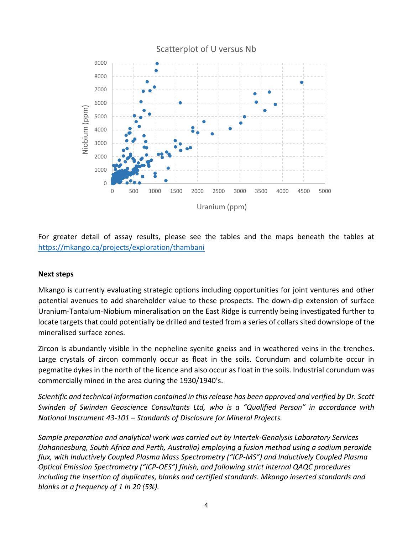

For greater detail of assay results, please see the tables and the maps beneath the tables at <https://mkango.ca/projects/exploration/thambani>

#### **Next steps**

Mkango is currently evaluating strategic options including opportunities for joint ventures and other potential avenues to add shareholder value to these prospects. The down-dip extension of surface Uranium-Tantalum-Niobium mineralisation on the East Ridge is currently being investigated further to locate targets that could potentially be drilled and tested from a series of collars sited downslope of the mineralised surface zones.

Zircon is abundantly visible in the nepheline syenite gneiss and in weathered veins in the trenches. Large crystals of zircon commonly occur as float in the soils. Corundum and columbite occur in pegmatite dykes in the north of the licence and also occur as float in the soils. Industrial corundum was commercially mined in the area during the 1930/1940's.

*Scientific and technical information contained in this release has been approved and verified by Dr. Scott Swinden of Swinden Geoscience Consultants Ltd, who is a "Qualified Person" in accordance with National Instrument 43-101 – Standards of Disclosure for Mineral Projects.*

*Sample preparation and analytical work was carried out by Intertek-Genalysis Laboratory Services (Johannesburg, South Africa and Perth, Australia) employing a fusion method using a sodium peroxide flux, with Inductively Coupled Plasma Mass Spectrometry ("ICP-MS") and Inductively Coupled Plasma Optical Emission Spectrometry ("ICP-OES") finish, and following strict internal QAQC procedures including the insertion of duplicates, blanks and certified standards. Mkango inserted standards and blanks at a frequency of 1 in 20 (5%).*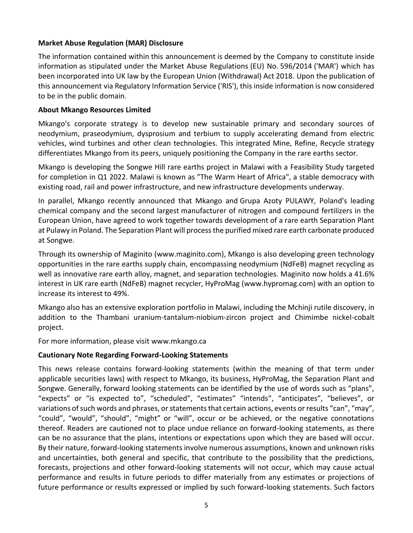## **Market Abuse Regulation (MAR) Disclosure**

The information contained within this announcement is deemed by the Company to constitute inside information as stipulated under the Market Abuse Regulations (EU) No. 596/2014 ('MAR') which has been incorporated into UK law by the European Union (Withdrawal) Act 2018. Upon the publication of this announcement via Regulatory Information Service ('RIS'), this inside information is now considered to be in the public domain.

## **About Mkango Resources Limited**

Mkango's corporate strategy is to develop new sustainable primary and secondary sources of neodymium, praseodymium, dysprosium and terbium to supply accelerating demand from electric vehicles, wind turbines and other clean technologies. This integrated Mine, Refine, Recycle strategy differentiates Mkango from its peers, uniquely positioning the Company in the rare earths sector.

Mkango is developing the Songwe Hill rare earths project in Malawi with a Feasibility Study targeted for completion in Q1 2022. Malawi is known as "The Warm Heart of Africa", a stable democracy with existing road, rail and power infrastructure, and new infrastructure developments underway.

In parallel, Mkango recently announced that Mkango and Grupa Azoty PULAWY, Poland's leading chemical company and the second largest manufacturer of nitrogen and compound fertilizers in the European Union, have agreed to work together towards development of a rare earth Separation Plant at Pulawy in Poland. The Separation Plant will process the purified mixed rare earth carbonate produced at Songwe.

Through its ownership of Maginito [\(www.maginito.com\)](http://www.maginito.com/), Mkango is also developing green technology opportunities in the rare earths supply chain, encompassing neodymium (NdFeB) magnet recycling as well as innovative rare earth alloy, magnet, and separation technologies. Maginito now holds a 41.6% interest in UK rare earth (NdFeB) magnet recycler, HyProMag [\(www.hypromag.com\)](http://www.hypromag.com/) with an option to increase its interest to 49%.

Mkango also has an extensive exploration portfolio in Malawi, including the Mchinji rutile discovery, in addition to the Thambani uranium-tantalum-niobium-zircon project and Chimimbe nickel-cobalt project.

For more information, please visit www.mkango.ca

## **Cautionary Note Regarding Forward-Looking Statements**

This news release contains forward-looking statements (within the meaning of that term under applicable securities laws) with respect to Mkango, its business, HyProMag, the Separation Plant and Songwe. Generally, forward looking statements can be identified by the use of words such as "plans", "expects" or "is expected to", "scheduled", "estimates" "intends", "anticipates", "believes", or variations of such words and phrases, or statements that certain actions, events or results "can", "may", "could", "would", "should", "might" or "will", occur or be achieved, or the negative connotations thereof. Readers are cautioned not to place undue reliance on forward-looking statements, as there can be no assurance that the plans, intentions or expectations upon which they are based will occur. By their nature, forward-looking statements involve numerous assumptions, known and unknown risks and uncertainties, both general and specific, that contribute to the possibility that the predictions, forecasts, projections and other forward-looking statements will not occur, which may cause actual performance and results in future periods to differ materially from any estimates or projections of future performance or results expressed or implied by such forward-looking statements. Such factors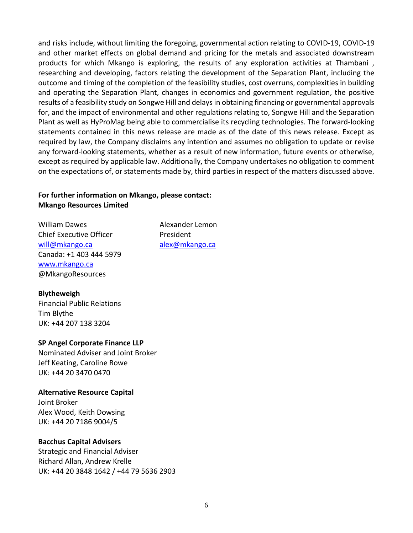and risks include, without limiting the foregoing, governmental action relating to COVID-19, COVID-19 and other market effects on global demand and pricing for the metals and associated downstream products for which Mkango is exploring, the results of any exploration activities at Thambani , researching and developing, factors relating the development of the Separation Plant, including the outcome and timing of the completion of the feasibility studies, cost overruns, complexities in building and operating the Separation Plant, changes in economics and government regulation, the positive results of a feasibility study on Songwe Hill and delays in obtaining financing or governmental approvals for, and the impact of environmental and other regulations relating to, Songwe Hill and the Separation Plant as well as HyProMag being able to commercialise its recycling technologies. The forward-looking statements contained in this news release are made as of the date of this news release. Except as required by law, the Company disclaims any intention and assumes no obligation to update or revise any forward-looking statements, whether as a result of new information, future events or otherwise, except as required by applicable law. Additionally, the Company undertakes no obligation to comment on the expectations of, or statements made by, third parties in respect of the matters discussed above.

#### **For further information on Mkango, please contact: Mkango Resources Limited**

William Dawes **Alexander Lemon** Chief Executive Officer **President** will@mkango.ca alex@mkango.ca Canada: +1 403 444 5979 [www.mkango.ca](http://www.mkango.ca/) @MkangoResources

#### **Blytheweigh**

Financial Public Relations Tim Blythe UK: +44 207 138 3204

#### **SP Angel Corporate Finance LLP**

Nominated Adviser and Joint Broker Jeff Keating, Caroline Rowe UK: +44 20 3470 0470

#### **Alternative Resource Capital**

Joint Broker Alex Wood, Keith Dowsing UK: +44 20 7186 9004/5

## **Bacchus Capital Advisers**

Strategic and Financial Adviser Richard Allan, Andrew Krelle UK: +44 20 3848 1642 / +44 79 5636 2903